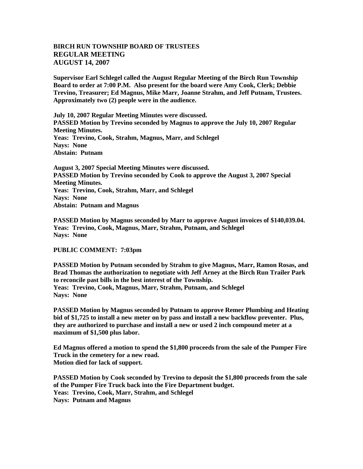## **BIRCH RUN TOWNSHIP BOARD OF TRUSTEES REGULAR MEETING AUGUST 14, 2007**

**Supervisor Earl Schlegel called the August Regular Meeting of the Birch Run Township Board to order at 7:00 P.M. Also present for the board were Amy Cook, Clerk; Debbie Trevino, Treasurer; Ed Magnus, Mike Marr, Joanne Strahm, and Jeff Putnam, Trustees. Approximately two (2) people were in the audience.** 

**July 10, 2007 Regular Meeting Minutes were discussed. PASSED Motion by Trevino seconded by Magnus to approve the July 10, 2007 Regular Meeting Minutes. Yeas: Trevino, Cook, Strahm, Magnus, Marr, and Schlegel Nays: None Abstain: Putnam**

**August 3, 2007 Special Meeting Minutes were discussed. PASSED Motion by Trevino seconded by Cook to approve the August 3, 2007 Special Meeting Minutes. Yeas: Trevino, Cook, Strahm, Marr, and Schlegel Nays: None Abstain: Putnam and Magnus**

**PASSED Motion by Magnus seconded by Marr to approve August invoices of \$140,039.04. Yeas: Trevino, Cook, Magnus, Marr, Strahm, Putnam, and Schlegel Nays: None**

## **PUBLIC COMMENT: 7:03pm**

**PASSED Motion by Putnam seconded by Strahm to give Magnus, Marr, Ramon Rosas, and Brad Thomas the authorization to negotiate with Jeff Arney at the Birch Run Trailer Park to reconcile past bills in the best interest of the Township. Yeas: Trevino, Cook, Magnus, Marr, Strahm, Putnam, and Schlegel Nays: None**

**PASSED Motion by Magnus seconded by Putnam to approve Remer Plumbing and Heating bid of \$1,725 to install a new meter on by pass and install a new backflow preventer. Plus, they are authorized to purchase and install a new or used 2 inch compound meter at a maximum of \$1,500 plus labor.**

**Ed Magnus offered a motion to spend the \$1,800 proceeds from the sale of the Pumper Fire Truck in the cemetery for a new road. Motion died for lack of support.**

**PASSED Motion by Cook seconded by Trevino to deposit the \$1,800 proceeds from the sale of the Pumper Fire Truck back into the Fire Department budget. Yeas: Trevino, Cook, Marr, Strahm, and Schlegel Nays: Putnam and Magnus**